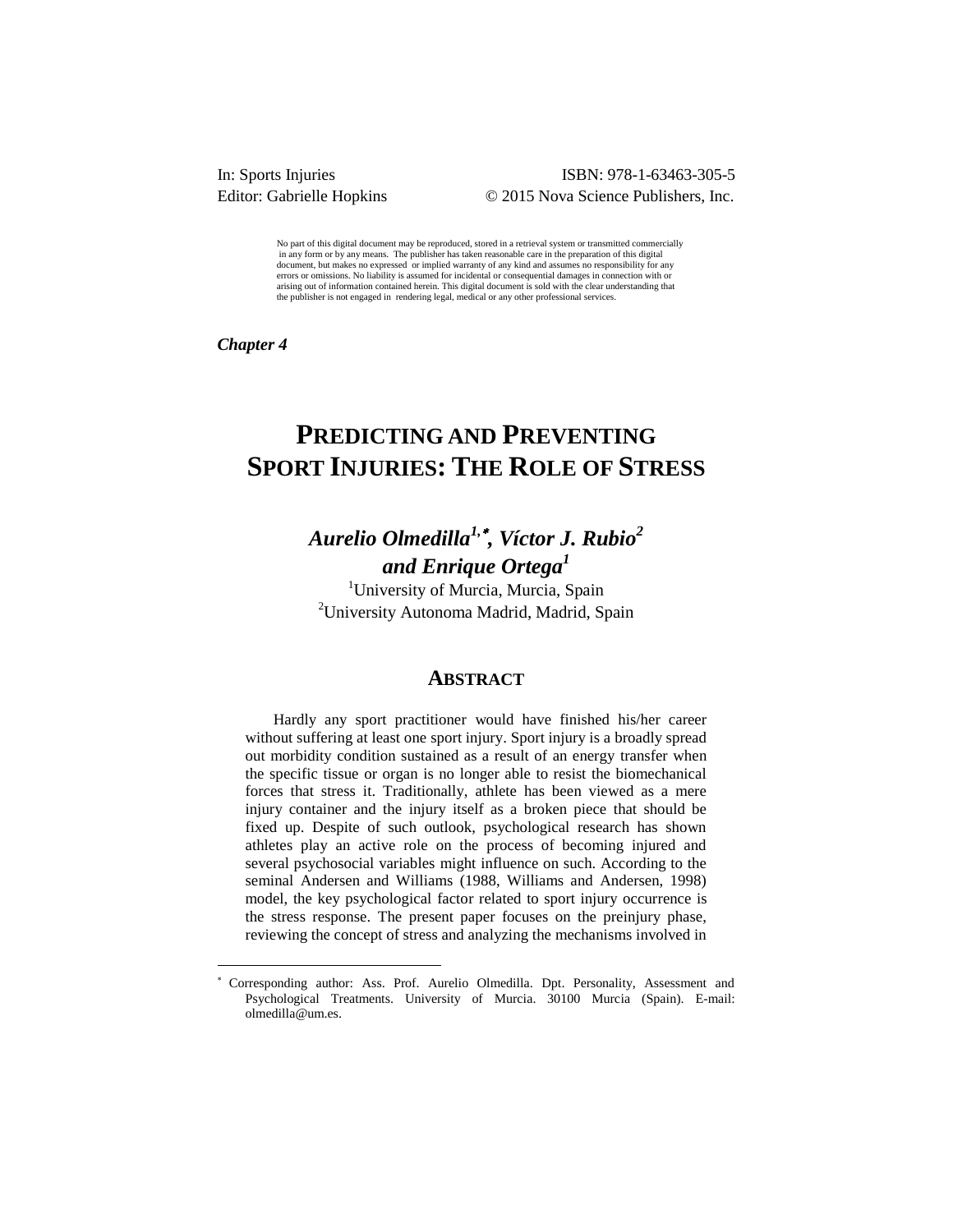### ISBN: 978-1-63463-305-5 Editor: Gabrielle Hopkins © 2015 Nova Science Publishers, Inc.

No part of this digital document may be reproduced, stored in a retrieval system or transmitted commercially in any form or by any means. The publisher has taken reasonable care in the preparation of this digital document, but makes no expressed or implied warranty of any kind and assumes no responsibility for any errors or omissions. No liability is assumed for incidental or consequential damages in connection with or arising out of information contained herein. This digital document is sold with the clear understanding that the publisher is not engaged in rendering legal, medical or any other professional services.

*Chapter 4* 

 $\overline{a}$ 

# **PREDICTING AND PREVENTING SPORT INJURIES: THE ROLE OF STRESS**

# *Aurelio Olmedilla1, , Víctor J. Rubio<sup>2</sup> and Enrique Ortega<sup>1</sup>*

<sup>1</sup>University of Murcia, Murcia, Spain <sup>2</sup>University Autonoma Madrid, Madrid, Spain

### **ABSTRACT**

Hardly any sport practitioner would have finished his/her career without suffering at least one sport injury. Sport injury is a broadly spread out morbidity condition sustained as a result of an energy transfer when the specific tissue or organ is no longer able to resist the biomechanical forces that stress it. Traditionally, athlete has been viewed as a mere injury container and the injury itself as a broken piece that should be fixed up. Despite of such outlook, psychological research has shown athletes play an active role on the process of becoming injured and several psychosocial variables might influence on such. According to the seminal Andersen and Williams (1988, Williams and Andersen, 1998) model, the key psychological factor related to sport injury occurrence is the stress response. The present paper focuses on the preinjury phase, reviewing the concept of stress and analyzing the mechanisms involved in

Corresponding author: Ass. Prof. Aurelio Olmedilla. Dpt. Personality, Assessment and Psychological Treatments. University of Murcia. 30100 Murcia (Spain). E-mail: olmedilla@um.es.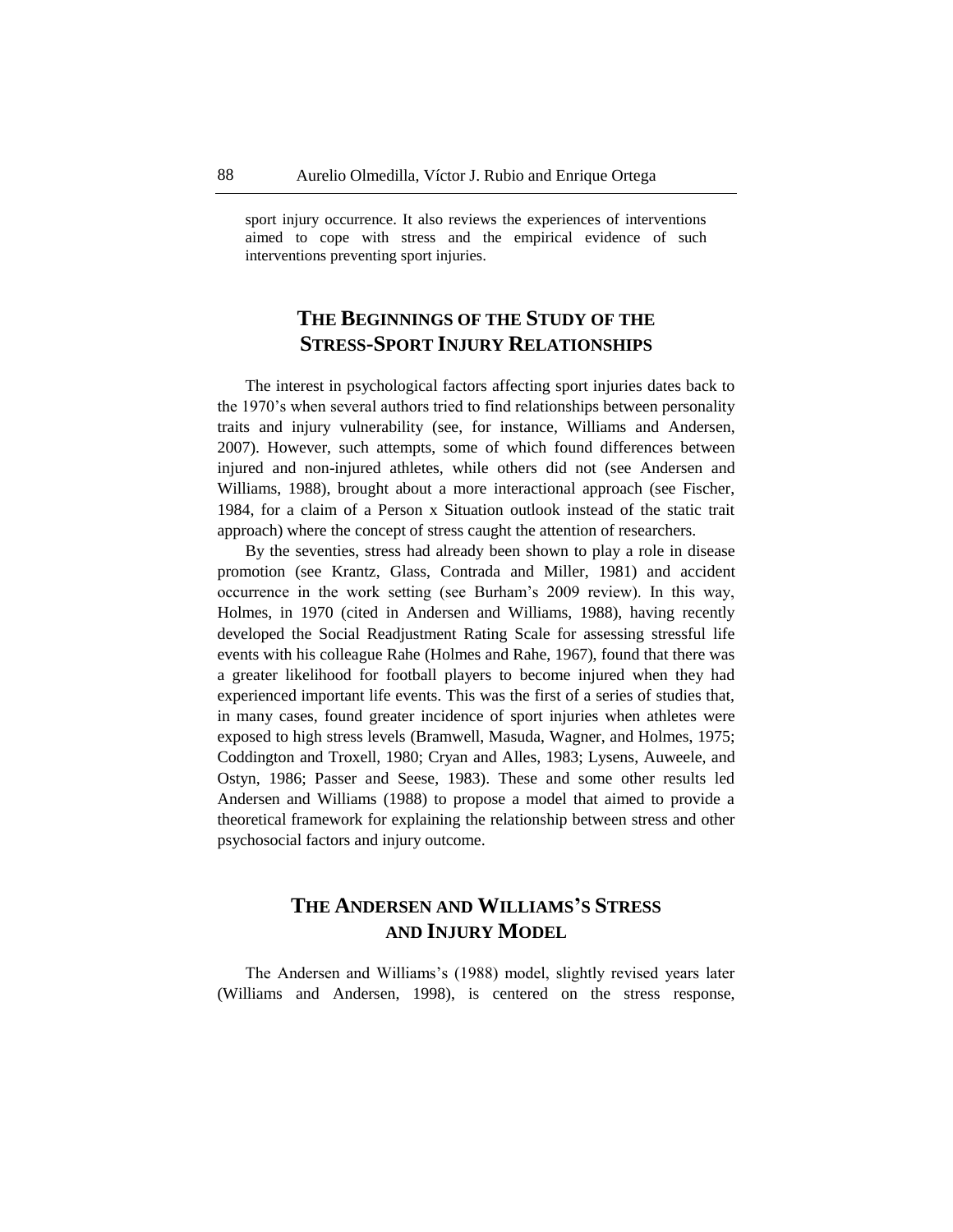sport injury occurrence. It also reviews the experiences of interventions aimed to cope with stress and the empirical evidence of such interventions preventing sport injuries.

## **THE BEGINNINGS OF THE STUDY OF THE STRESS-SPORT INJURY RELATIONSHIPS**

The interest in psychological factors affecting sport injuries dates back to the 1970's when several authors tried to find relationships between personality traits and injury vulnerability (see, for instance, Williams and Andersen, 2007). However, such attempts, some of which found differences between injured and non-injured athletes, while others did not (see Andersen and Williams, 1988), brought about a more interactional approach (see Fischer, 1984, for a claim of a Person x Situation outlook instead of the static trait approach) where the concept of stress caught the attention of researchers.

By the seventies, stress had already been shown to play a role in disease promotion (see Krantz, Glass, Contrada and Miller, 1981) and accident occurrence in the work setting (see Burham's 2009 review). In this way, Holmes, in 1970 (cited in Andersen and Williams, 1988), having recently developed the Social Readjustment Rating Scale for assessing stressful life events with his colleague Rahe (Holmes and Rahe, 1967), found that there was a greater likelihood for football players to become injured when they had experienced important life events. This was the first of a series of studies that, in many cases, found greater incidence of sport injuries when athletes were exposed to high stress levels (Bramwell, Masuda, Wagner, and Holmes, 1975; Coddington and Troxell, 1980; Cryan and Alles, 1983; Lysens, Auweele, and Ostyn, 1986; Passer and Seese, 1983). These and some other results led Andersen and Williams (1988) to propose a model that aimed to provide a theoretical framework for explaining the relationship between stress and other psychosocial factors and injury outcome.

## **THE ANDERSEN AND WILLIAMS'S STRESS AND INJURY MODEL**

The Andersen and Williams's (1988) model, slightly revised years later (Williams and Andersen, 1998), is centered on the stress response,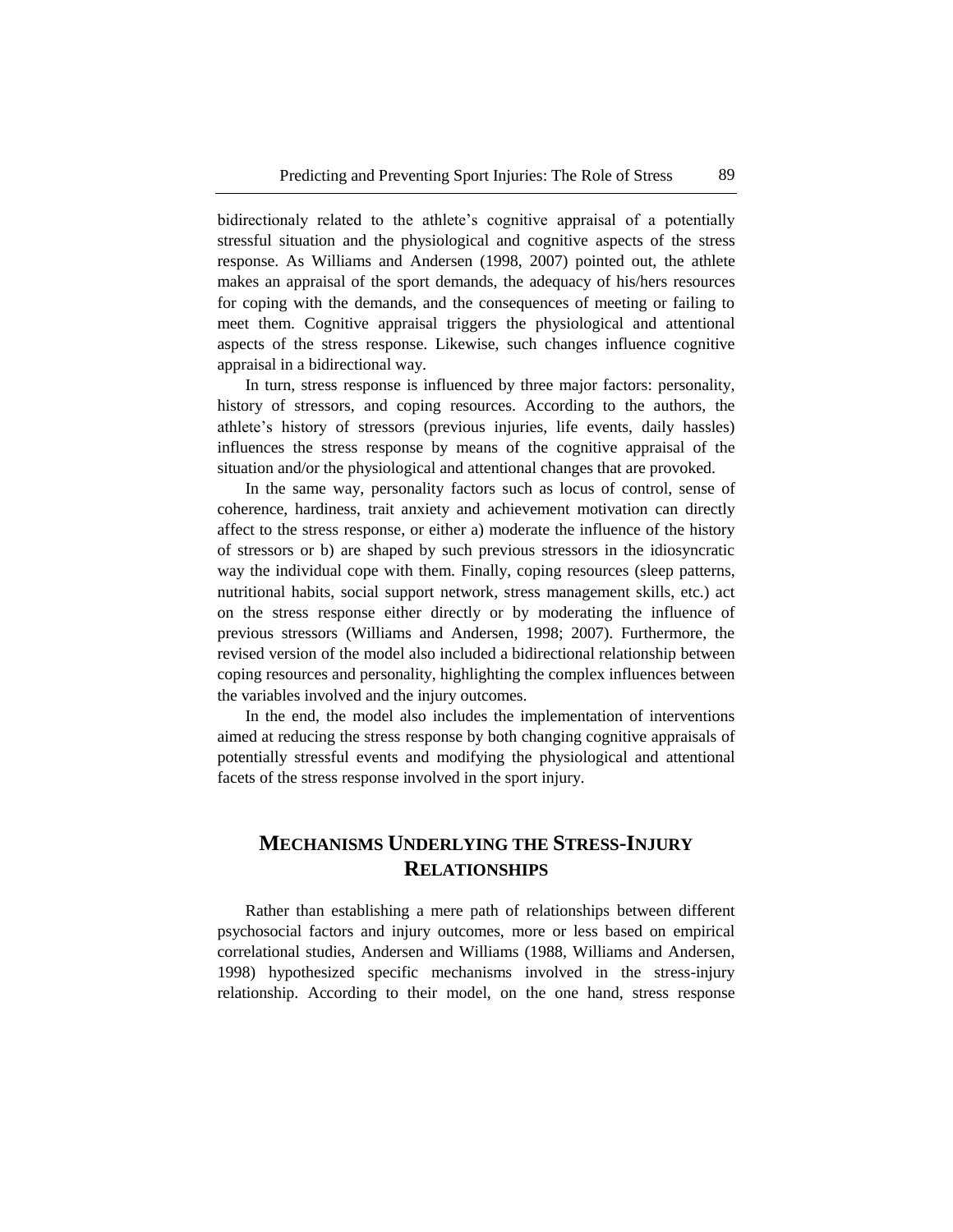bidirectionaly related to the athlete's cognitive appraisal of a potentially stressful situation and the physiological and cognitive aspects of the stress response. As Williams and Andersen (1998, 2007) pointed out, the athlete makes an appraisal of the sport demands, the adequacy of his/hers resources for coping with the demands, and the consequences of meeting or failing to meet them. Cognitive appraisal triggers the physiological and attentional aspects of the stress response. Likewise, such changes influence cognitive appraisal in a bidirectional way.

In turn, stress response is influenced by three major factors: personality, history of stressors, and coping resources. According to the authors, the athlete's history of stressors (previous injuries, life events, daily hassles) influences the stress response by means of the cognitive appraisal of the situation and/or the physiological and attentional changes that are provoked.

In the same way, personality factors such as locus of control, sense of coherence, hardiness, trait anxiety and achievement motivation can directly affect to the stress response, or either a) moderate the influence of the history of stressors or b) are shaped by such previous stressors in the idiosyncratic way the individual cope with them. Finally, coping resources (sleep patterns, nutritional habits, social support network, stress management skills, etc.) act on the stress response either directly or by moderating the influence of previous stressors (Williams and Andersen, 1998; 2007). Furthermore, the revised version of the model also included a bidirectional relationship between coping resources and personality, highlighting the complex influences between the variables involved and the injury outcomes.

In the end, the model also includes the implementation of interventions aimed at reducing the stress response by both changing cognitive appraisals of potentially stressful events and modifying the physiological and attentional facets of the stress response involved in the sport injury.

## **MECHANISMS UNDERLYING THE STRESS-INJURY RELATIONSHIPS**

Rather than establishing a mere path of relationships between different psychosocial factors and injury outcomes, more or less based on empirical correlational studies, Andersen and Williams (1988, Williams and Andersen, 1998) hypothesized specific mechanisms involved in the stress-injury relationship. According to their model, on the one hand, stress response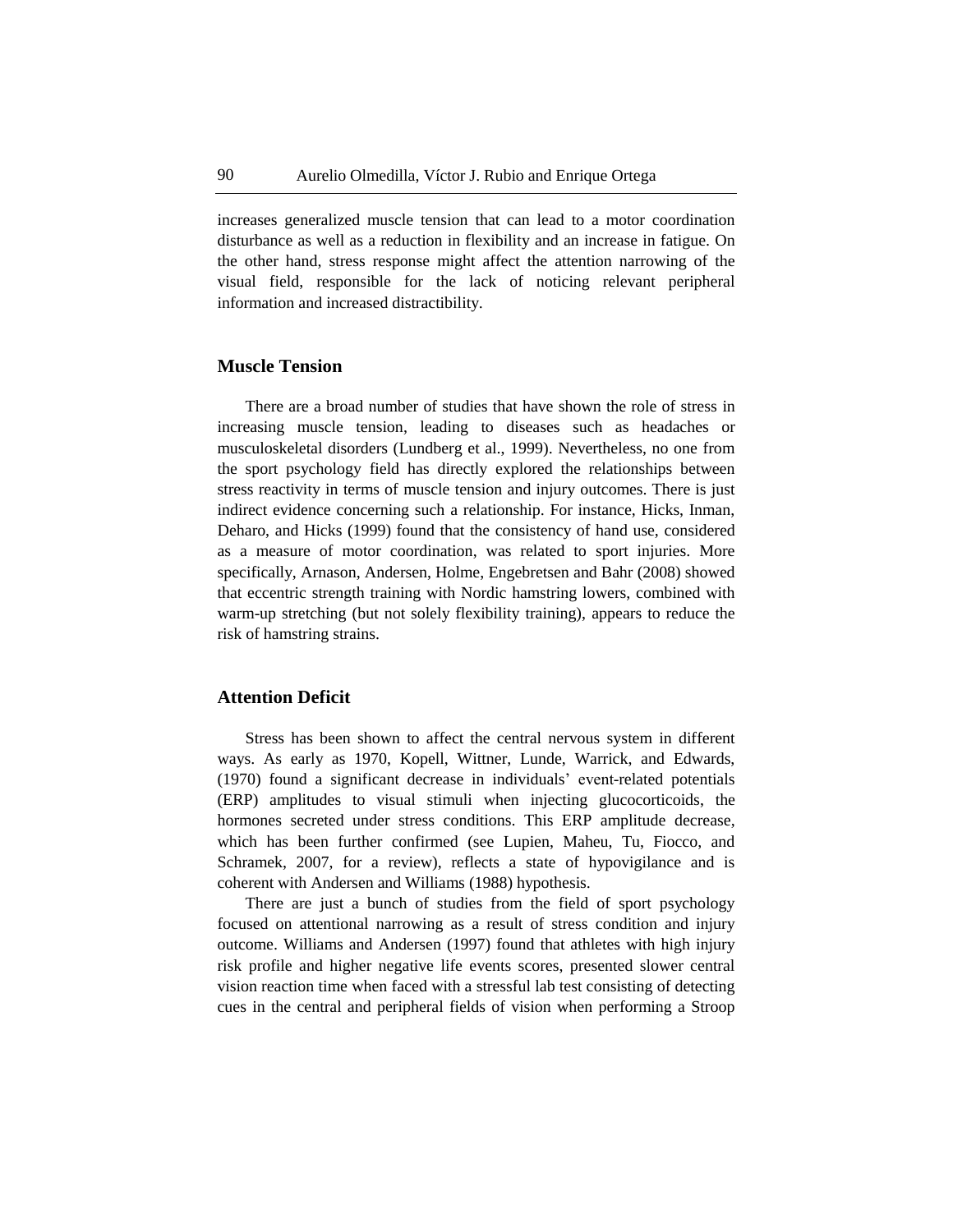increases generalized muscle tension that can lead to a motor coordination disturbance as well as a reduction in flexibility and an increase in fatigue. On the other hand, stress response might affect the attention narrowing of the visual field, responsible for the lack of noticing relevant peripheral information and increased distractibility.

#### **Muscle Tension**

There are a broad number of studies that have shown the role of stress in increasing muscle tension, leading to diseases such as headaches or musculoskeletal disorders (Lundberg et al., 1999). Nevertheless, no one from the sport psychology field has directly explored the relationships between stress reactivity in terms of muscle tension and injury outcomes. There is just indirect evidence concerning such a relationship. For instance, Hicks, Inman, Deharo, and Hicks (1999) found that the consistency of hand use, considered as a measure of motor coordination, was related to sport injuries. More specifically, Arnason, Andersen, Holme, Engebretsen and Bahr (2008) showed that eccentric strength training with Nordic hamstring lowers, combined with warm-up stretching (but not solely flexibility training), appears to reduce the risk of hamstring strains.

#### **Attention Deficit**

Stress has been shown to affect the central nervous system in different ways. As early as 1970, Kopell, Wittner, Lunde, Warrick, and Edwards, (1970) found a significant decrease in individuals' event-related potentials (ERP) amplitudes to visual stimuli when injecting glucocorticoids, the hormones secreted under stress conditions. This ERP amplitude decrease, which has been further confirmed (see Lupien, Maheu, Tu, Fiocco, and Schramek, 2007, for a review), reflects a state of hypovigilance and is coherent with Andersen and Williams (1988) hypothesis.

There are just a bunch of studies from the field of sport psychology focused on attentional narrowing as a result of stress condition and injury outcome. Williams and Andersen (1997) found that athletes with high injury risk profile and higher negative life events scores, presented slower central vision reaction time when faced with a stressful lab test consisting of detecting cues in the central and peripheral fields of vision when performing a Stroop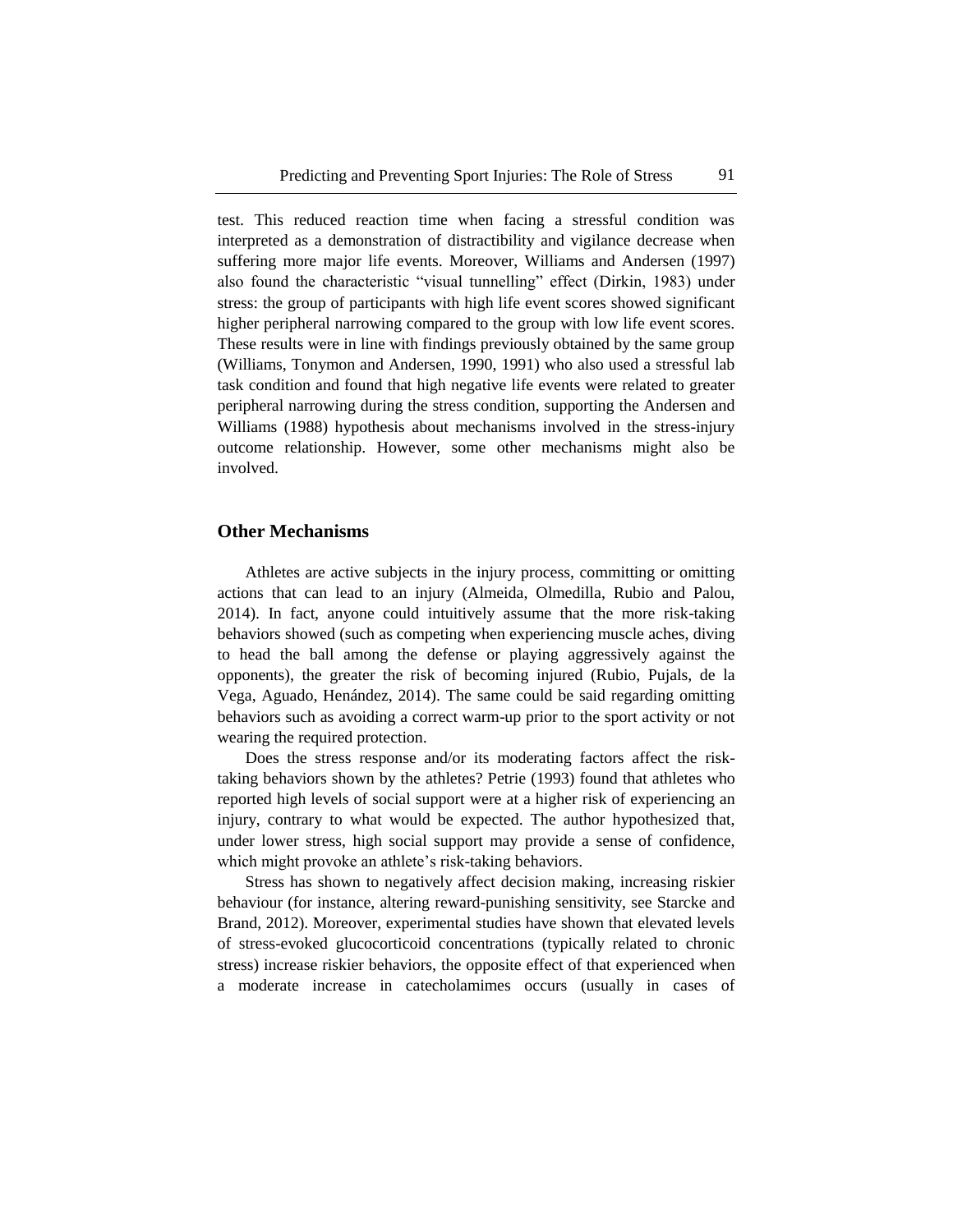test. This reduced reaction time when facing a stressful condition was interpreted as a demonstration of distractibility and vigilance decrease when suffering more major life events. Moreover, Williams and Andersen (1997) also found the characteristic "visual tunnelling" effect (Dirkin, 1983) under stress: the group of participants with high life event scores showed significant higher peripheral narrowing compared to the group with low life event scores. These results were in line with findings previously obtained by the same group (Williams, Tonymon and Andersen, 1990, 1991) who also used a stressful lab task condition and found that high negative life events were related to greater peripheral narrowing during the stress condition, supporting the Andersen and Williams (1988) hypothesis about mechanisms involved in the stress-injury outcome relationship. However, some other mechanisms might also be involved.

#### **Other Mechanisms**

Athletes are active subjects in the injury process, committing or omitting actions that can lead to an injury (Almeida, Olmedilla, Rubio and Palou, 2014). In fact, anyone could intuitively assume that the more risk-taking behaviors showed (such as competing when experiencing muscle aches, diving to head the ball among the defense or playing aggressively against the opponents), the greater the risk of becoming injured (Rubio, Pujals, de la Vega, Aguado, Henández, 2014). The same could be said regarding omitting behaviors such as avoiding a correct warm-up prior to the sport activity or not wearing the required protection.

Does the stress response and/or its moderating factors affect the risktaking behaviors shown by the athletes? Petrie (1993) found that athletes who reported high levels of social support were at a higher risk of experiencing an injury, contrary to what would be expected. The author hypothesized that, under lower stress, high social support may provide a sense of confidence, which might provoke an athlete's risk-taking behaviors.

Stress has shown to negatively affect decision making, increasing riskier behaviour (for instance, altering reward-punishing sensitivity, see Starcke and Brand, 2012). Moreover, experimental studies have shown that elevated levels of stress-evoked glucocorticoid concentrations (typically related to chronic stress) increase riskier behaviors, the opposite effect of that experienced when a moderate increase in catecholamimes occurs (usually in cases of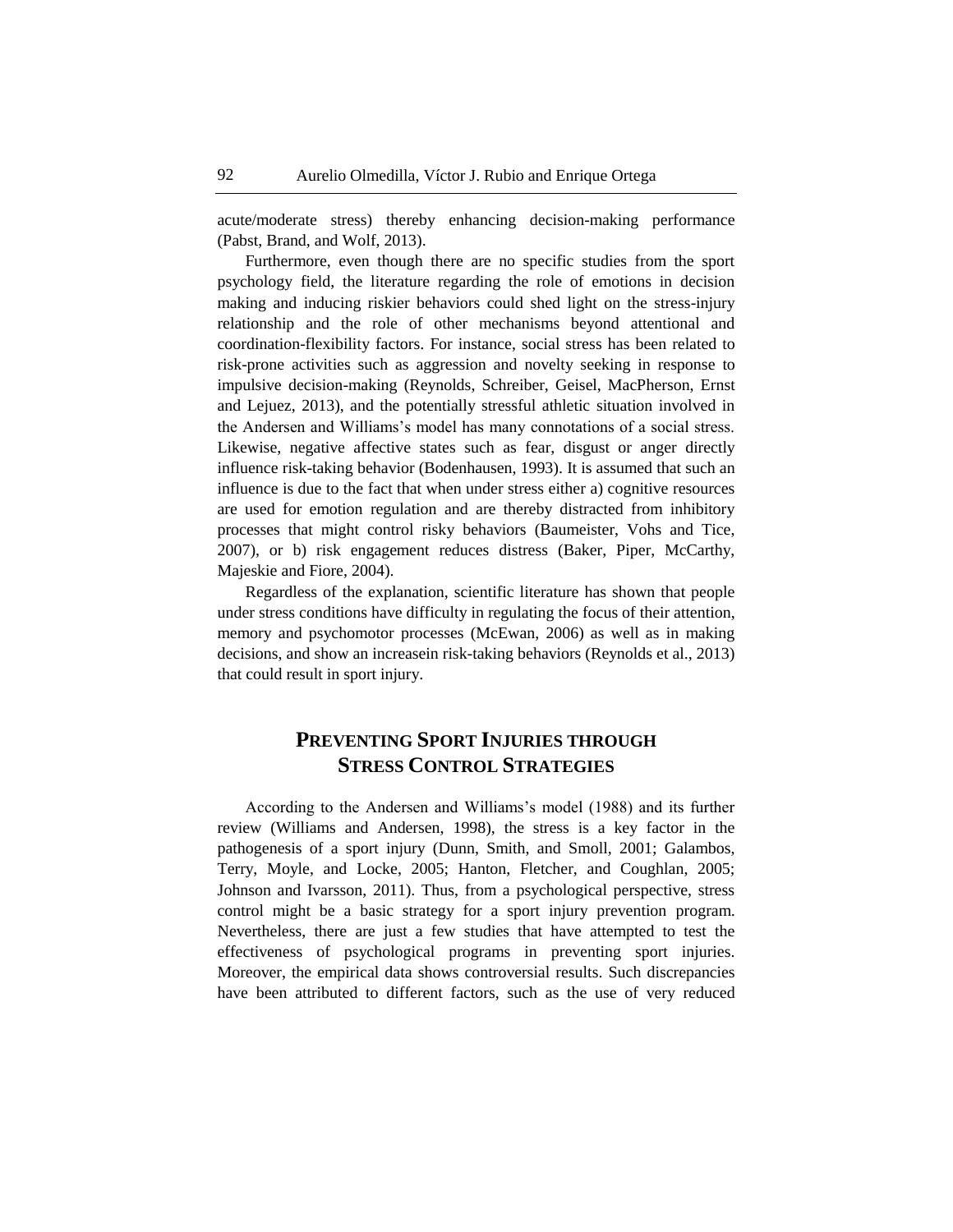acute/moderate stress) thereby enhancing decision-making performance (Pabst, Brand, and Wolf, 2013).

Furthermore, even though there are no specific studies from the sport psychology field, the literature regarding the role of emotions in decision making and inducing riskier behaviors could shed light on the stress-injury relationship and the role of other mechanisms beyond attentional and coordination-flexibility factors. For instance, social stress has been related to risk-prone activities such as aggression and novelty seeking in response to impulsive decision-making (Reynolds, Schreiber, Geisel, MacPherson, Ernst and Lejuez, 2013), and the potentially stressful athletic situation involved in the Andersen and Williams's model has many connotations of a social stress. Likewise, negative affective states such as fear, disgust or anger directly influence risk-taking behavior (Bodenhausen, 1993). It is assumed that such an influence is due to the fact that when under stress either a) cognitive resources are used for emotion regulation and are thereby distracted from inhibitory processes that might control risky behaviors (Baumeister, Vohs and Tice, 2007), or b) risk engagement reduces distress (Baker, Piper, McCarthy, Majeskie and Fiore, 2004).

Regardless of the explanation, scientific literature has shown that people under stress conditions have difficulty in regulating the focus of their attention, memory and psychomotor processes (McEwan, 2006) as well as in making decisions, and show an increasein risk-taking behaviors (Reynolds et al., 2013) that could result in sport injury.

### **PREVENTING SPORT INJURIES THROUGH STRESS CONTROL STRATEGIES**

According to the Andersen and Williams's model (1988) and its further review (Williams and Andersen, 1998), the stress is a key factor in the pathogenesis of a sport injury (Dunn, Smith, and Smoll, 2001; Galambos, Terry, Moyle, and Locke, 2005; Hanton, Fletcher, and Coughlan, 2005; Johnson and Ivarsson, 2011). Thus, from a psychological perspective, stress control might be a basic strategy for a sport injury prevention program. Nevertheless, there are just a few studies that have attempted to test the effectiveness of psychological programs in preventing sport injuries. Moreover, the empirical data shows controversial results. Such discrepancies have been attributed to different factors, such as the use of very reduced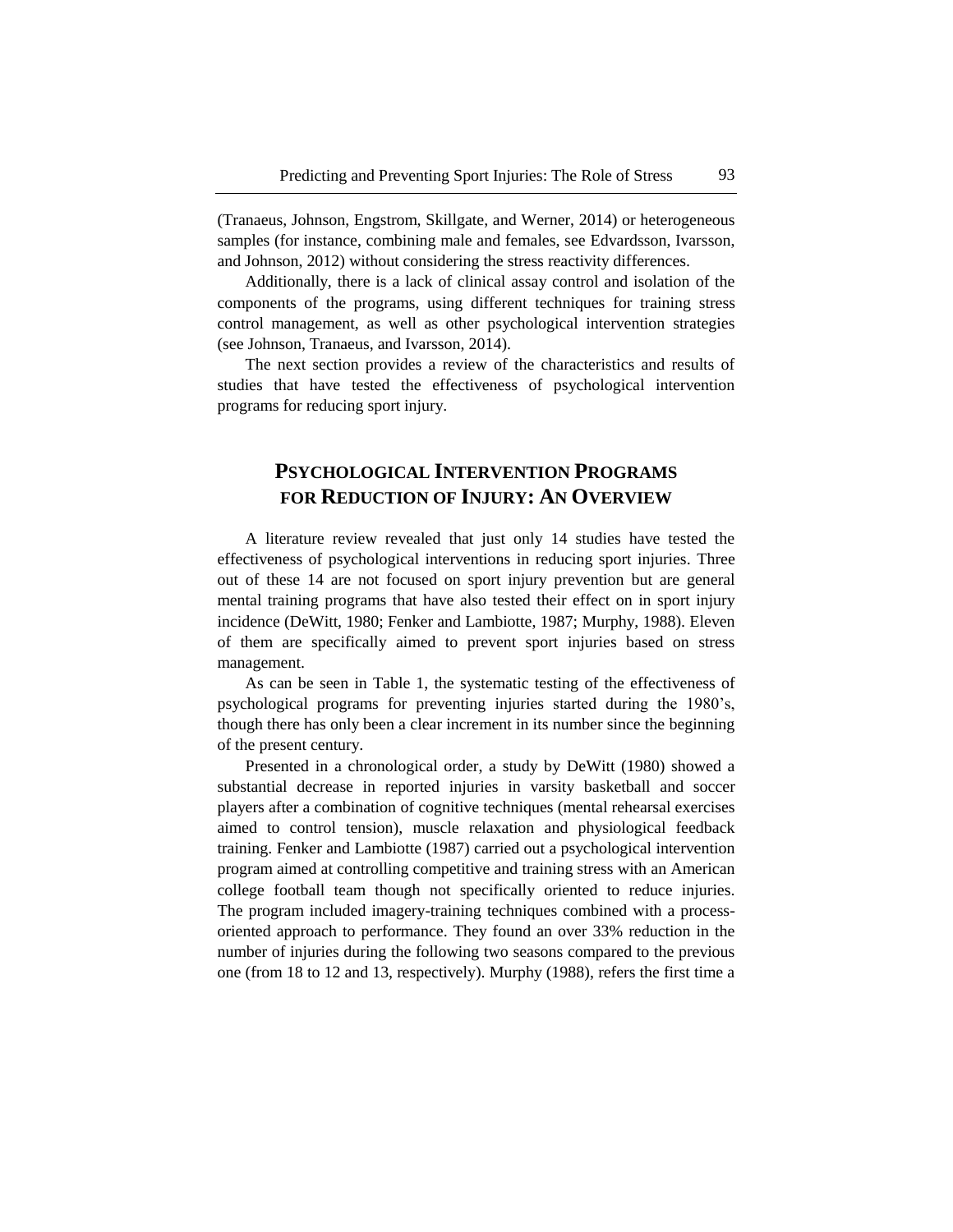(Tranaeus, Johnson, Engstrom, Skillgate, and Werner, 2014) or heterogeneous samples (for instance, combining male and females, see Edvardsson, Ivarsson, and Johnson, 2012) without considering the stress reactivity differences.

Additionally, there is a lack of clinical assay control and isolation of the components of the programs, using different techniques for training stress control management, as well as other psychological intervention strategies (see Johnson, Tranaeus, and Ivarsson, 2014).

The next section provides a review of the characteristics and results of studies that have tested the effectiveness of psychological intervention programs for reducing sport injury.

# **PSYCHOLOGICAL INTERVENTION PROGRAMS FOR REDUCTION OF INJURY: AN OVERVIEW**

A literature review revealed that just only 14 studies have tested the effectiveness of psychological interventions in reducing sport injuries. Three out of these 14 are not focused on sport injury prevention but are general mental training programs that have also tested their effect on in sport injury incidence (DeWitt, 1980; Fenker and Lambiotte, 1987; Murphy, 1988). Eleven of them are specifically aimed to prevent sport injuries based on stress management.

As can be seen in Table 1, the systematic testing of the effectiveness of psychological programs for preventing injuries started during the 1980's, though there has only been a clear increment in its number since the beginning of the present century.

Presented in a chronological order, a study by DeWitt (1980) showed a substantial decrease in reported injuries in varsity basketball and soccer players after a combination of cognitive techniques (mental rehearsal exercises aimed to control tension), muscle relaxation and physiological feedback training. Fenker and Lambiotte (1987) carried out a psychological intervention program aimed at controlling competitive and training stress with an American college football team though not specifically oriented to reduce injuries. The program included imagery-training techniques combined with a processoriented approach to performance. They found an over 33% reduction in the number of injuries during the following two seasons compared to the previous one (from 18 to 12 and 13, respectively). Murphy (1988), refers the first time a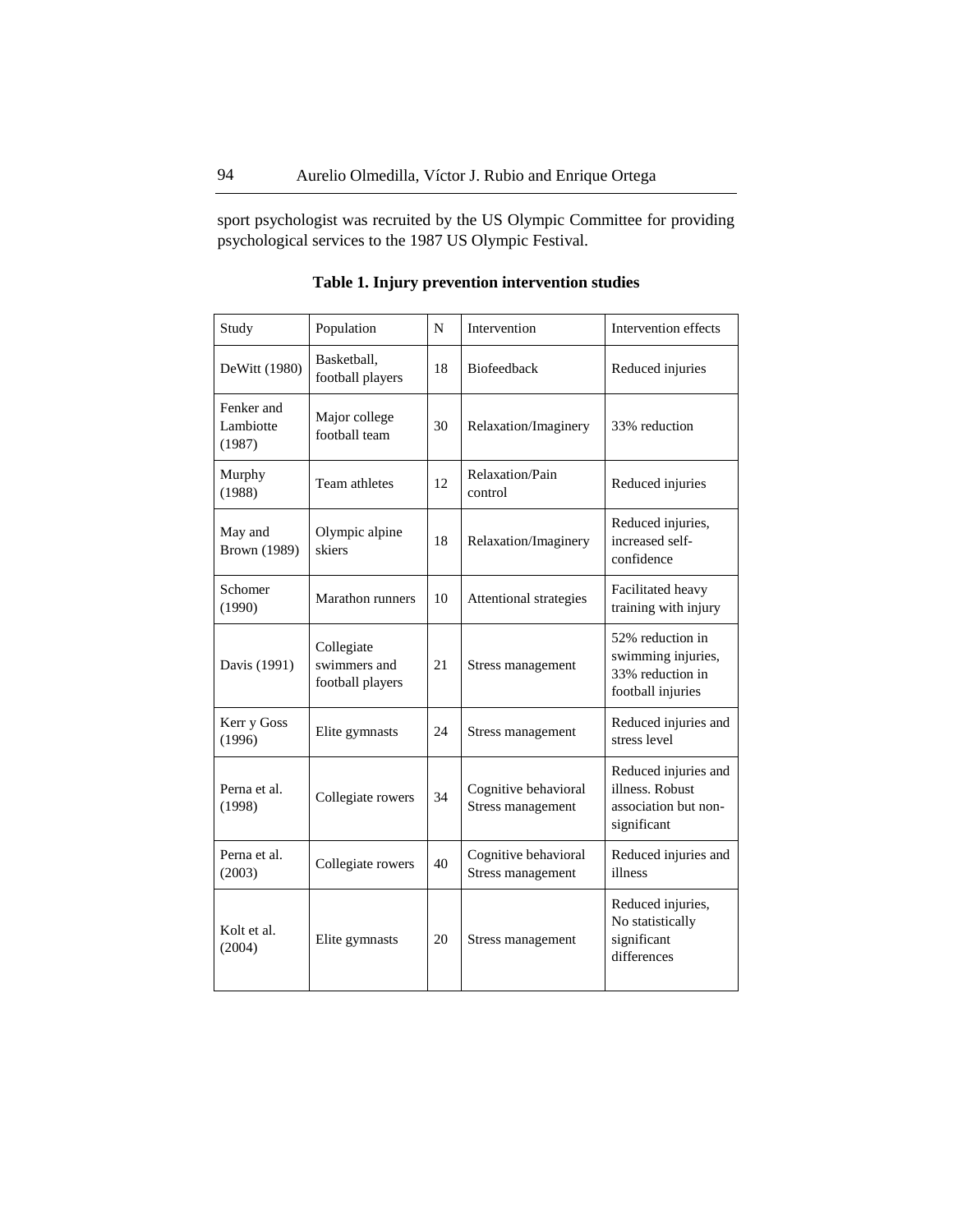sport psychologist was recruited by the US Olympic Committee for providing psychological services to the 1987 US Olympic Festival.

| Study                             | Population                                     | N  | Intervention                              | Intervention effects                                                            |
|-----------------------------------|------------------------------------------------|----|-------------------------------------------|---------------------------------------------------------------------------------|
| DeWitt (1980)                     | Basketball,<br>football players                | 18 | <b>Biofeedback</b>                        | Reduced injuries                                                                |
| Fenker and<br>Lambiotte<br>(1987) | Major college<br>football team                 | 30 | Relaxation/Imaginery                      | 33% reduction                                                                   |
| Murphy<br>(1988)                  | Team athletes                                  | 12 | Relaxation/Pain<br>control                | Reduced injuries                                                                |
| May and<br><b>Brown</b> (1989)    | Olympic alpine<br>skiers                       | 18 | Relaxation/Imaginery                      | Reduced injuries,<br>increased self-<br>confidence                              |
| Schomer<br>(1990)                 | <b>Marathon</b> runners                        | 10 | Attentional strategies                    | Facilitated heavy<br>training with injury                                       |
| Davis (1991)                      | Collegiate<br>swimmers and<br>football players | 21 | Stress management                         | 52% reduction in<br>swimming injuries,<br>33% reduction in<br>football injuries |
| Kerr y Goss<br>(1996)             | Elite gymnasts                                 | 24 | Stress management                         | Reduced injuries and<br>stress level                                            |
| Perna et al.<br>(1998)            | Collegiate rowers                              | 34 | Cognitive behavioral<br>Stress management | Reduced injuries and<br>illness. Robust<br>association but non-<br>significant  |
| Perna et al.<br>(2003)            | Collegiate rowers                              | 40 | Cognitive behavioral<br>Stress management | Reduced injuries and<br>illness                                                 |
| Kolt et al.<br>(2004)             | Elite gymnasts                                 | 20 | Stress management                         | Reduced injuries,<br>No statistically<br>significant<br>differences             |

**Table 1. Injury prevention intervention studies**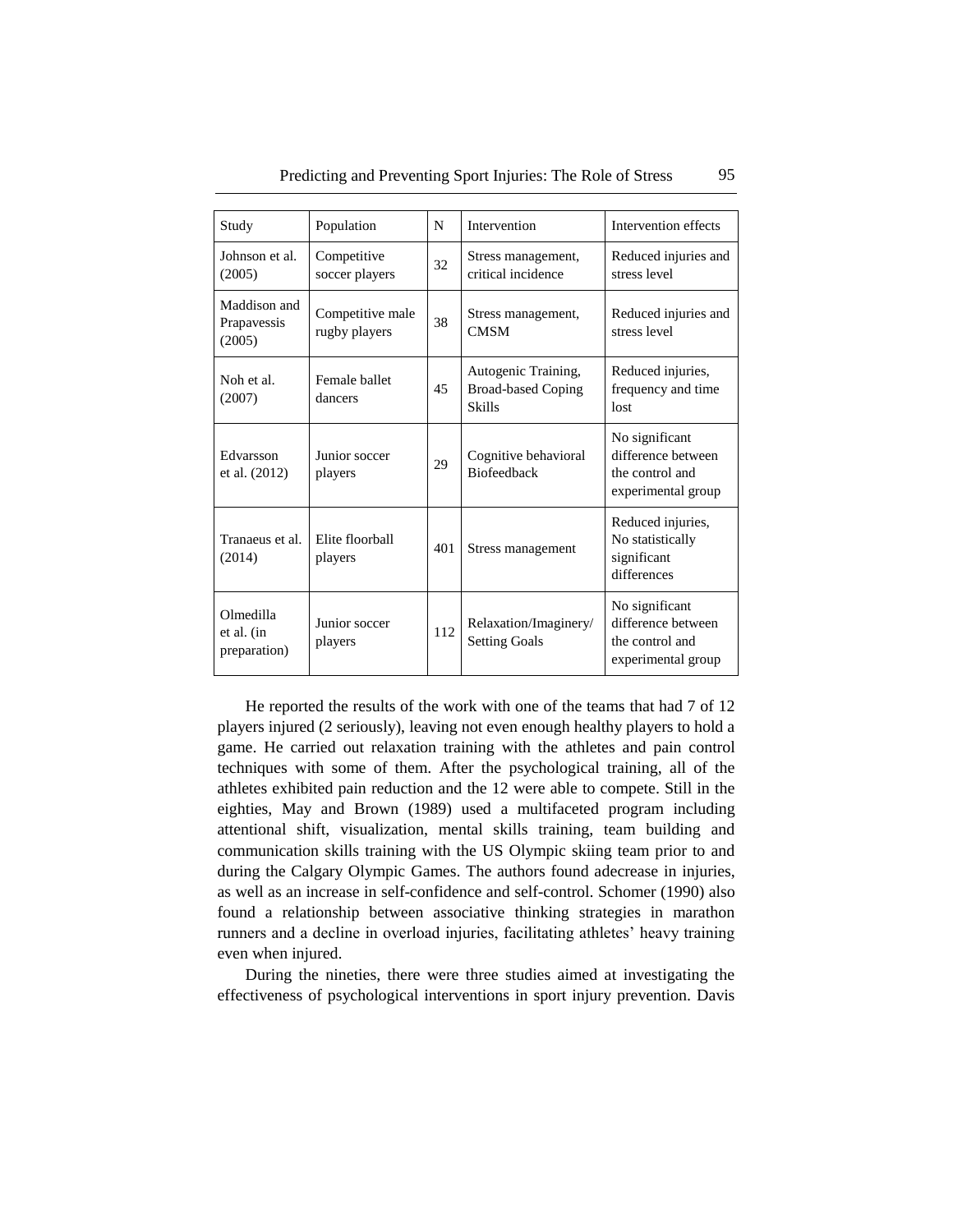| Study                                   | Population                        | N   | Intervention                                                      | Intervention effects                                                          |
|-----------------------------------------|-----------------------------------|-----|-------------------------------------------------------------------|-------------------------------------------------------------------------------|
| Johnson et al.<br>(2005)                | Competitive<br>soccer players     | 32  | Stress management,<br>critical incidence                          | Reduced injuries and<br>stress level                                          |
| Maddison and<br>Prapavessis<br>(2005)   | Competitive male<br>rugby players | 38  | Stress management,<br><b>CMSM</b>                                 | Reduced injuries and<br>stress level                                          |
| Noh et al.<br>(2007)                    | Female ballet<br>dancers          | 45  | Autogenic Training,<br><b>Broad-based Coping</b><br><b>Skills</b> | Reduced injuries,<br>frequency and time<br>lost                               |
| Edvarsson<br>et al. (2012)              | Junior soccer<br>players          | 29  | Cognitive behavioral<br><b>Biofeedback</b>                        | No significant<br>difference between<br>the control and<br>experimental group |
| Tranaeus et al.<br>(2014)               | Elite floorball<br>players        | 401 | Stress management                                                 | Reduced injuries,<br>No statistically<br>significant<br>differences           |
| Olmedilla<br>et al. (in<br>preparation) | Junior soccer<br>players          | 112 | Relaxation/Imaginery/<br><b>Setting Goals</b>                     | No significant<br>difference between<br>the control and<br>experimental group |

Predicting and Preventing Sport Injuries: The Role of Stress 95

He reported the results of the work with one of the teams that had 7 of 12 players injured (2 seriously), leaving not even enough healthy players to hold a game. He carried out relaxation training with the athletes and pain control techniques with some of them. After the psychological training, all of the athletes exhibited pain reduction and the 12 were able to compete. Still in the eighties, May and Brown (1989) used a multifaceted program including attentional shift, visualization, mental skills training, team building and communication skills training with the US Olympic skiing team prior to and during the Calgary Olympic Games. The authors found adecrease in injuries, as well as an increase in self-confidence and self-control. Schomer (1990) also found a relationship between associative thinking strategies in marathon runners and a decline in overload injuries, facilitating athletes' heavy training even when injured.

During the nineties, there were three studies aimed at investigating the effectiveness of psychological interventions in sport injury prevention. Davis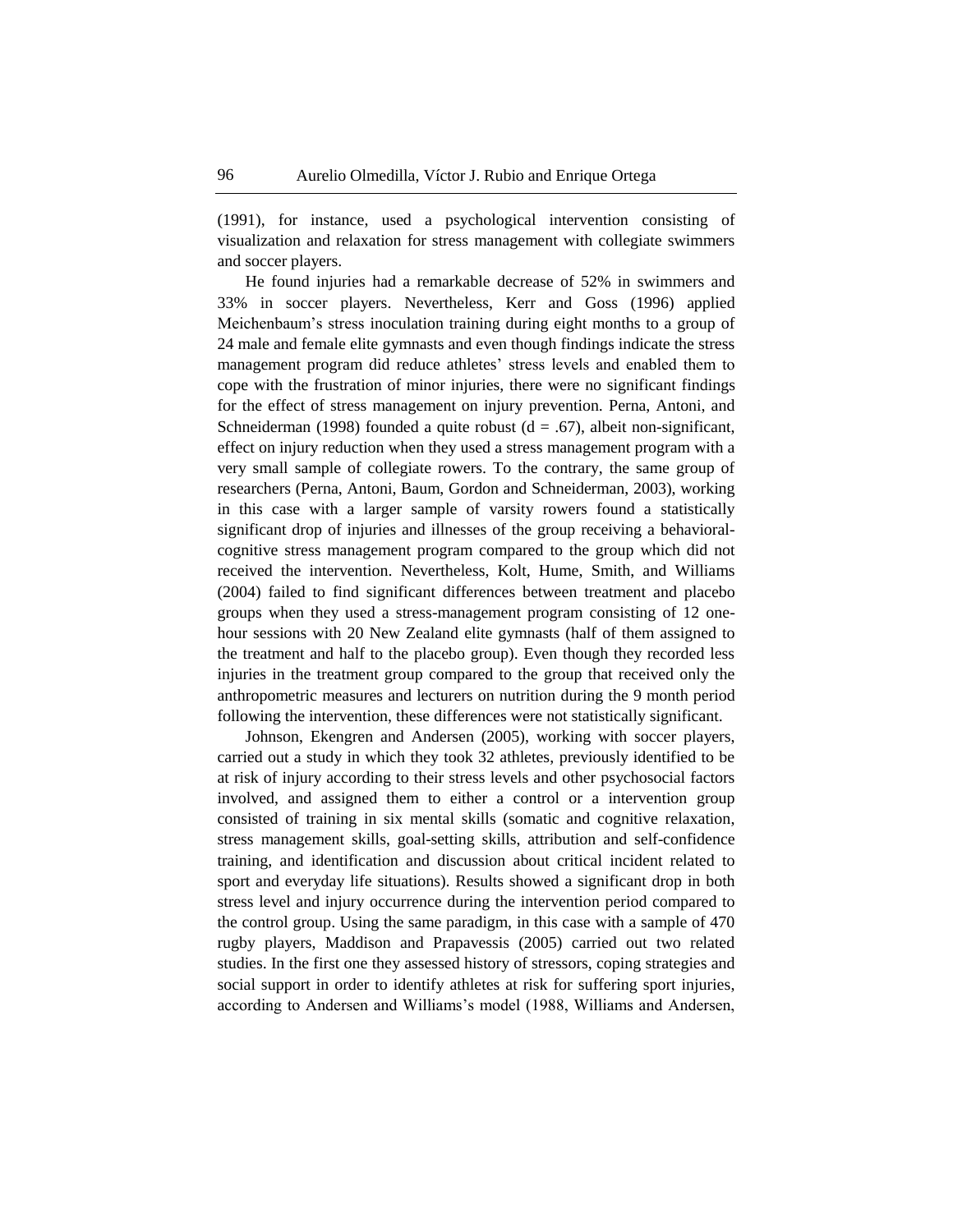(1991), for instance, used a psychological intervention consisting of visualization and relaxation for stress management with collegiate swimmers and soccer players.

He found injuries had a remarkable decrease of 52% in swimmers and 33% in soccer players. Nevertheless, Kerr and Goss (1996) applied Meichenbaum's stress inoculation training during eight months to a group of 24 male and female elite gymnasts and even though findings indicate the stress management program did reduce athletes' stress levels and enabled them to cope with the frustration of minor injuries, there were no significant findings for the effect of stress management on injury prevention. Perna, Antoni, and Schneiderman (1998) founded a quite robust ( $d = .67$ ), albeit non-significant, effect on injury reduction when they used a stress management program with a very small sample of collegiate rowers. To the contrary, the same group of researchers (Perna, Antoni, Baum, Gordon and Schneiderman, 2003), working in this case with a larger sample of varsity rowers found a statistically significant drop of injuries and illnesses of the group receiving a behavioralcognitive stress management program compared to the group which did not received the intervention. Nevertheless, Kolt, Hume, Smith, and Williams (2004) failed to find significant differences between treatment and placebo groups when they used a stress-management program consisting of 12 onehour sessions with 20 New Zealand elite gymnasts (half of them assigned to the treatment and half to the placebo group). Even though they recorded less injuries in the treatment group compared to the group that received only the anthropometric measures and lecturers on nutrition during the 9 month period following the intervention, these differences were not statistically significant.

Johnson, Ekengren and Andersen (2005), working with soccer players, carried out a study in which they took 32 athletes, previously identified to be at risk of injury according to their stress levels and other psychosocial factors involved, and assigned them to either a control or a intervention group consisted of training in six mental skills (somatic and cognitive relaxation, stress management skills, goal-setting skills, attribution and self-confidence training, and identification and discussion about critical incident related to sport and everyday life situations). Results showed a significant drop in both stress level and injury occurrence during the intervention period compared to the control group. Using the same paradigm, in this case with a sample of 470 rugby players, Maddison and Prapavessis (2005) carried out two related studies. In the first one they assessed history of stressors, coping strategies and social support in order to identify athletes at risk for suffering sport injuries, according to Andersen and Williams's model (1988, Williams and Andersen,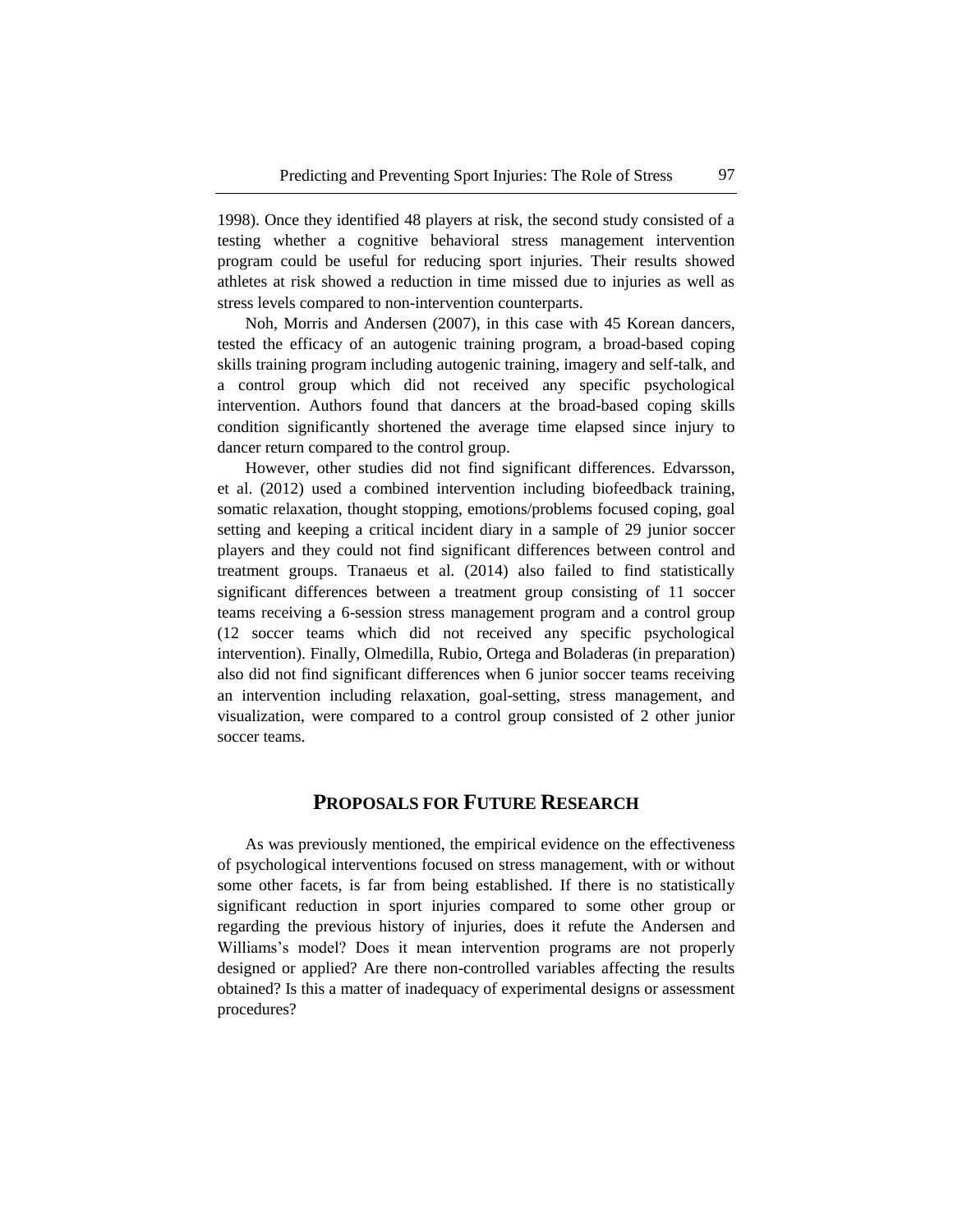1998). Once they identified 48 players at risk, the second study consisted of a testing whether a cognitive behavioral stress management intervention program could be useful for reducing sport injuries. Their results showed athletes at risk showed a reduction in time missed due to injuries as well as stress levels compared to non-intervention counterparts.

Noh, Morris and Andersen (2007), in this case with 45 Korean dancers, tested the efficacy of an autogenic training program, a broad-based coping skills training program including autogenic training, imagery and self-talk, and a control group which did not received any specific psychological intervention. Authors found that dancers at the broad-based coping skills condition significantly shortened the average time elapsed since injury to dancer return compared to the control group.

However, other studies did not find significant differences. Edvarsson, et al. (2012) used a combined intervention including biofeedback training, somatic relaxation, thought stopping, emotions/problems focused coping, goal setting and keeping a critical incident diary in a sample of 29 junior soccer players and they could not find significant differences between control and treatment groups. Tranaeus et al. (2014) also failed to find statistically significant differences between a treatment group consisting of 11 soccer teams receiving a 6-session stress management program and a control group (12 soccer teams which did not received any specific psychological intervention). Finally, Olmedilla, Rubio, Ortega and Boladeras (in preparation) also did not find significant differences when 6 junior soccer teams receiving an intervention including relaxation, goal-setting, stress management, and visualization, were compared to a control group consisted of 2 other junior soccer teams.

### **PROPOSALS FOR FUTURE RESEARCH**

As was previously mentioned, the empirical evidence on the effectiveness of psychological interventions focused on stress management, with or without some other facets, is far from being established. If there is no statistically significant reduction in sport injuries compared to some other group or regarding the previous history of injuries, does it refute the Andersen and Williams's model? Does it mean intervention programs are not properly designed or applied? Are there non-controlled variables affecting the results obtained? Is this a matter of inadequacy of experimental designs or assessment procedures?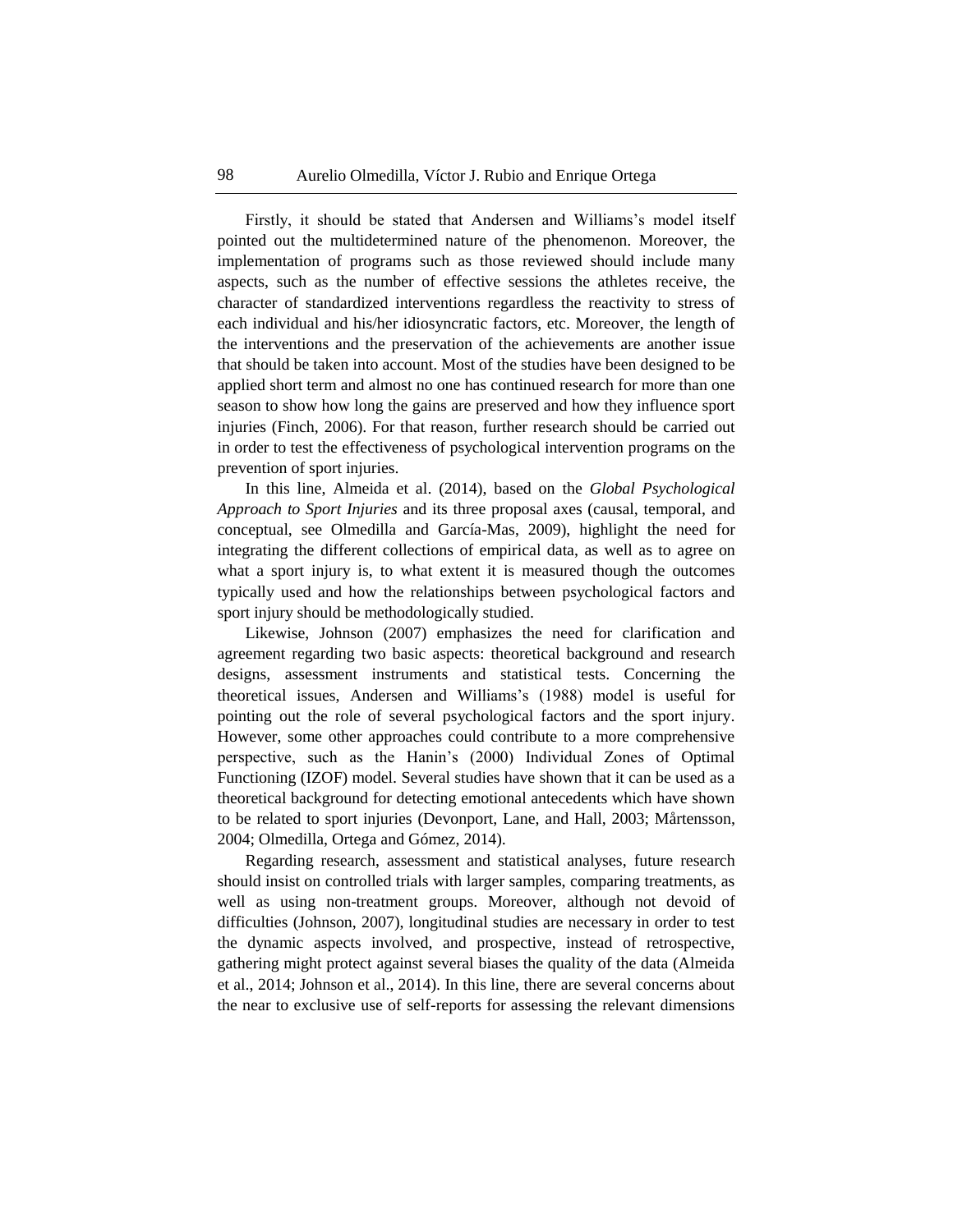Firstly, it should be stated that Andersen and Williams's model itself pointed out the multidetermined nature of the phenomenon. Moreover, the implementation of programs such as those reviewed should include many aspects, such as the number of effective sessions the athletes receive, the character of standardized interventions regardless the reactivity to stress of each individual and his/her idiosyncratic factors, etc. Moreover, the length of the interventions and the preservation of the achievements are another issue that should be taken into account. Most of the studies have been designed to be applied short term and almost no one has continued research for more than one season to show how long the gains are preserved and how they influence sport injuries (Finch, 2006). For that reason, further research should be carried out in order to test the effectiveness of psychological intervention programs on the prevention of sport injuries.

In this line, Almeida et al. (2014), based on the *Global Psychological Approach to Sport Injuries* and its three proposal axes (causal, temporal, and conceptual, see Olmedilla and García-Mas, 2009), highlight the need for integrating the different collections of empirical data, as well as to agree on what a sport injury is, to what extent it is measured though the outcomes typically used and how the relationships between psychological factors and sport injury should be methodologically studied.

Likewise, Johnson (2007) emphasizes the need for clarification and agreement regarding two basic aspects: theoretical background and research designs, assessment instruments and statistical tests. Concerning the theoretical issues, Andersen and Williams's (1988) model is useful for pointing out the role of several psychological factors and the sport injury. However, some other approaches could contribute to a more comprehensive perspective, such as the Hanin's (2000) Individual Zones of Optimal Functioning (IZOF) model. Several studies have shown that it can be used as a theoretical background for detecting emotional antecedents which have shown to be related to sport injuries (Devonport, Lane, and Hall, 2003; Mårtensson, 2004; Olmedilla, Ortega and Gómez, 2014).

Regarding research, assessment and statistical analyses, future research should insist on controlled trials with larger samples, comparing treatments, as well as using non-treatment groups. Moreover, although not devoid of difficulties (Johnson, 2007), longitudinal studies are necessary in order to test the dynamic aspects involved, and prospective, instead of retrospective, gathering might protect against several biases the quality of the data (Almeida et al., 2014; Johnson et al., 2014). In this line, there are several concerns about the near to exclusive use of self-reports for assessing the relevant dimensions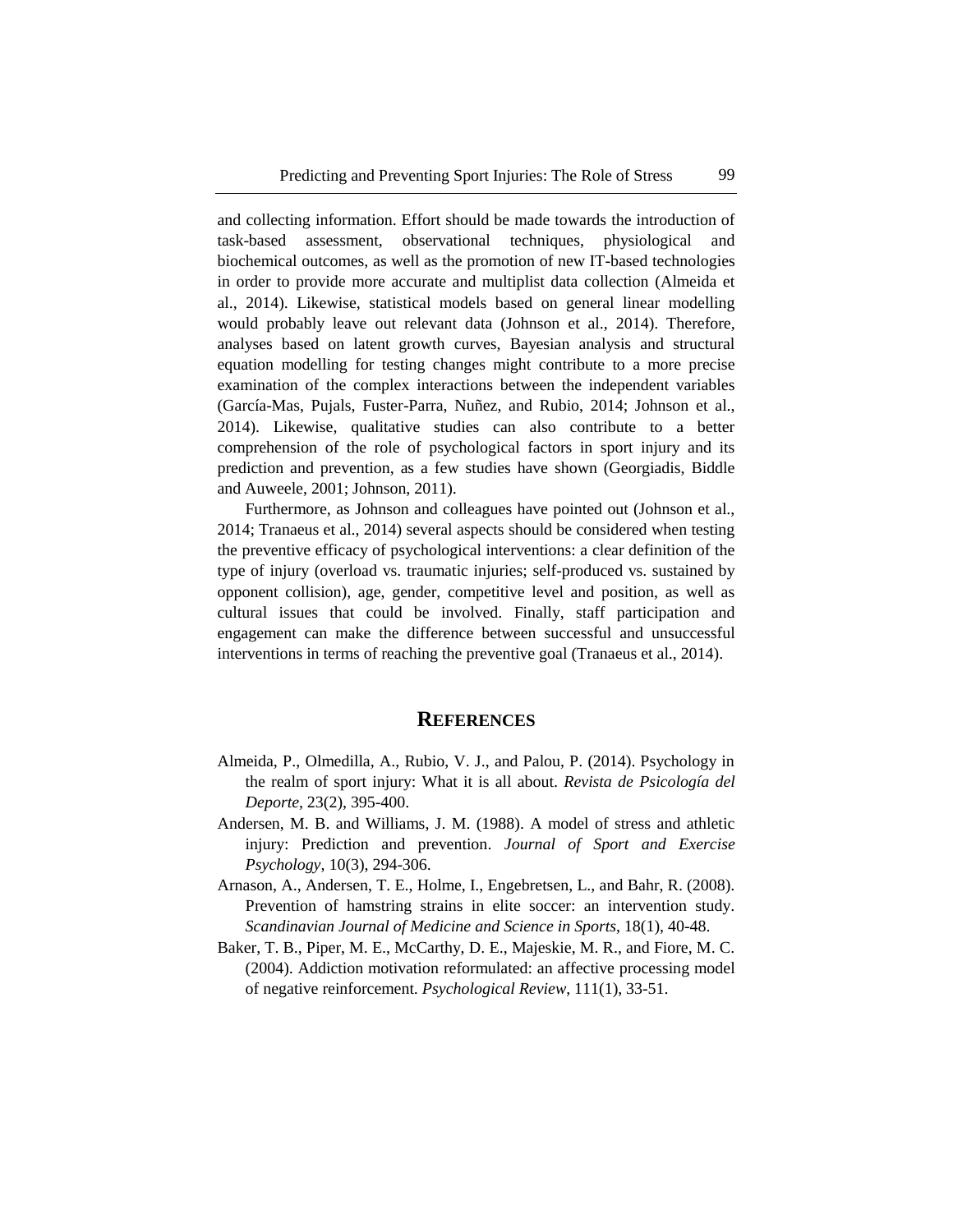and collecting information. Effort should be made towards the introduction of task-based assessment, observational techniques, physiological and biochemical outcomes, as well as the promotion of new IT-based technologies in order to provide more accurate and multiplist data collection (Almeida et al., 2014). Likewise, statistical models based on general linear modelling would probably leave out relevant data (Johnson et al., 2014). Therefore, analyses based on latent growth curves, Bayesian analysis and structural equation modelling for testing changes might contribute to a more precise examination of the complex interactions between the independent variables (García-Mas, Pujals, Fuster-Parra, Nuñez, and Rubio, 2014; Johnson et al., 2014). Likewise, qualitative studies can also contribute to a better comprehension of the role of psychological factors in sport injury and its prediction and prevention, as a few studies have shown (Georgiadis, Biddle and Auweele, 2001; Johnson, 2011).

Furthermore, as Johnson and colleagues have pointed out (Johnson et al., 2014; Tranaeus et al., 2014) several aspects should be considered when testing the preventive efficacy of psychological interventions: a clear definition of the type of injury (overload vs. traumatic injuries; self-produced vs. sustained by opponent collision), age, gender, competitive level and position, as well as cultural issues that could be involved. Finally, staff participation and engagement can make the difference between successful and unsuccessful interventions in terms of reaching the preventive goal (Tranaeus et al., 2014).

#### **REFERENCES**

- Almeida, P., Olmedilla, A., Rubio, V. J., and Palou, P. (2014). Psychology in the realm of sport injury: What it is all about. *Revista de Psicología del Deporte*, 23(2), 395-400.
- Andersen, M. B. and Williams, J. M. (1988). A model of stress and athletic injury: Prediction and prevention. *Journal of Sport and Exercise Psychology*, 10(3), 294-306.
- Arnason, A., Andersen, T. E., Holme, I., Engebretsen, L., and Bahr, R. (2008). Prevention of hamstring strains in elite soccer: an intervention study. *Scandinavian Journal of Medicine and Science in Sports*, 18(1), 40-48.
- Baker, T. B., Piper, M. E., McCarthy, D. E., Majeskie, M. R., and Fiore, M. C. (2004). Addiction motivation reformulated: an affective processing model of negative reinforcement. *Psychological Review*, 111(1), 33-51.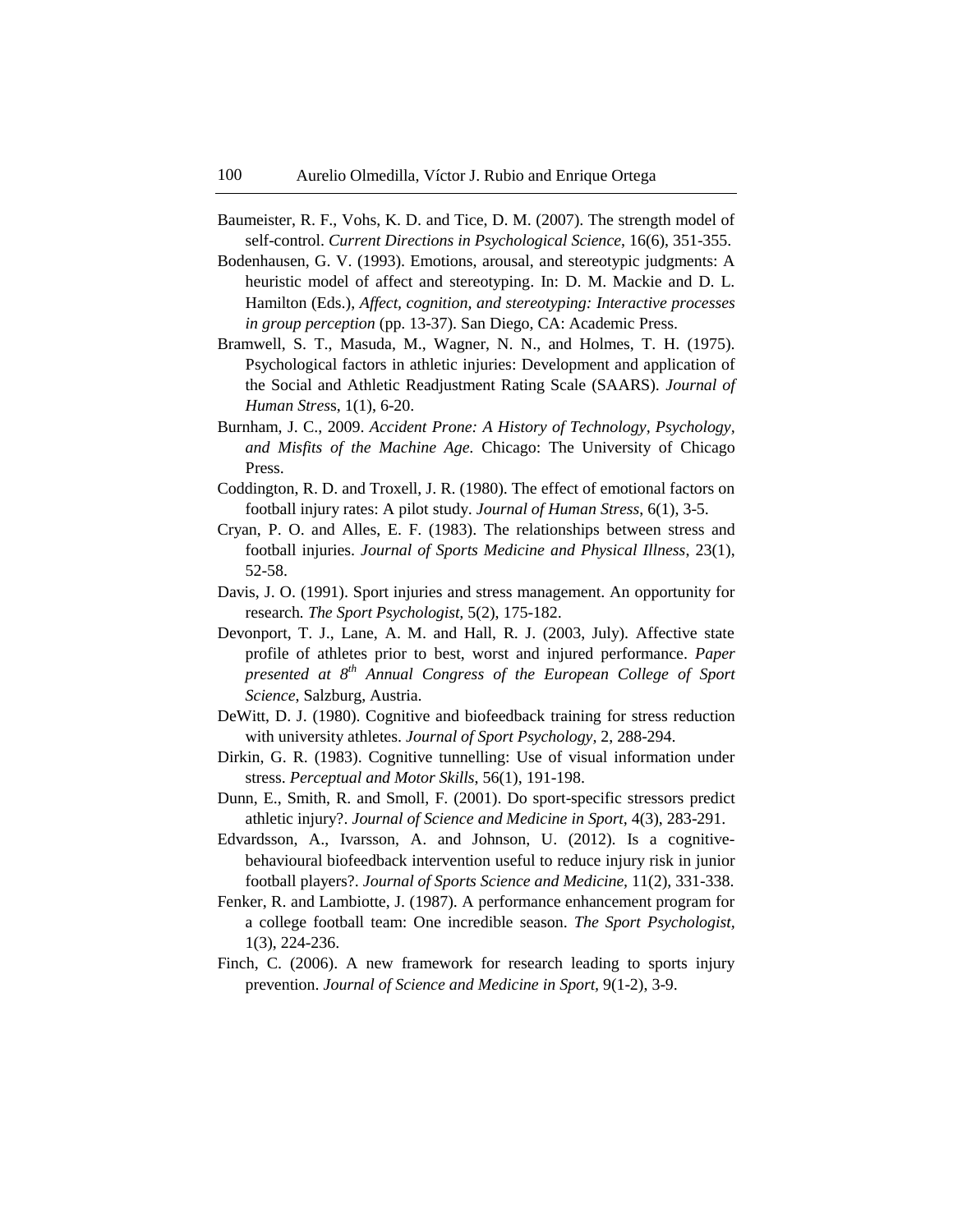- Baumeister, R. F., Vohs, K. D. and Tice, D. M. (2007). The strength model of self-control. *Current Directions in Psychological Science*, 16(6), 351-355.
- Bodenhausen, G. V. (1993). Emotions, arousal, and stereotypic judgments: A heuristic model of affect and stereotyping. In: D. M. Mackie and D. L. Hamilton (Eds.), *Affect, cognition, and stereotyping: Interactive processes in group perception* (pp. 13-37). San Diego, CA: Academic Press.
- Bramwell, S. T., Masuda, M., Wagner, N. N., and Holmes, T. H. (1975). Psychological factors in athletic injuries: Development and application of the Social and Athletic Readjustment Rating Scale (SAARS). *Journal of Human Stres*s, 1(1), 6-20.
- Burnham, J. C., 2009. *Accident Prone: A History of Technology, Psychology, and Misfits of the Machine Age.* Chicago: The University of Chicago Press.
- Coddington, R. D. and Troxell, J. R. (1980). The effect of emotional factors on football injury rates: A pilot study. *Journal of Human Stress*, 6(1), 3-5.
- Cryan, P. O. and Alles, E. F. (1983). The relationships between stress and football injuries. *Journal of Sports Medicine and Physical Illness*, 23(1), 52-58.
- Davis, J. O. (1991). Sport injuries and stress management. An opportunity for research*. The Sport Psychologist,* 5(2), 175-182.
- Devonport, T. J., Lane, A. M. and Hall, R. J. (2003, July). Affective state profile of athletes prior to best, worst and injured performance. *Paper presented at 8 th Annual Congress of the European College of Sport Science*, Salzburg, Austria.
- DeWitt, D. J. (1980). Cognitive and biofeedback training for stress reduction with university athletes. *Journal of Sport Psychology,* 2, 288-294.
- Dirkin, G. R. (1983). Cognitive tunnelling: Use of visual information under stress. *Perceptual and Motor Skills*, 56(1), 191-198.
- Dunn, E., Smith, R. and Smoll, F. (2001). Do sport-specific stressors predict athletic injury?. *Journal of Science and Medicine in Sport,* 4(3), 283-291.
- Edvardsson, A., Ivarsson, A. and Johnson, U. (2012). Is a cognitivebehavioural biofeedback intervention useful to reduce injury risk in junior football players?. *Journal of Sports Science and Medicine,* 11(2), 331-338.
- Fenker, R. and Lambiotte, J. (1987). A performance enhancement program for a college football team: One incredible season. *The Sport Psychologist,*  1(3), 224-236.
- Finch, C. (2006). A new framework for research leading to sports injury prevention. *Journal of Science and Medicine in Sport,* 9(1-2), 3-9.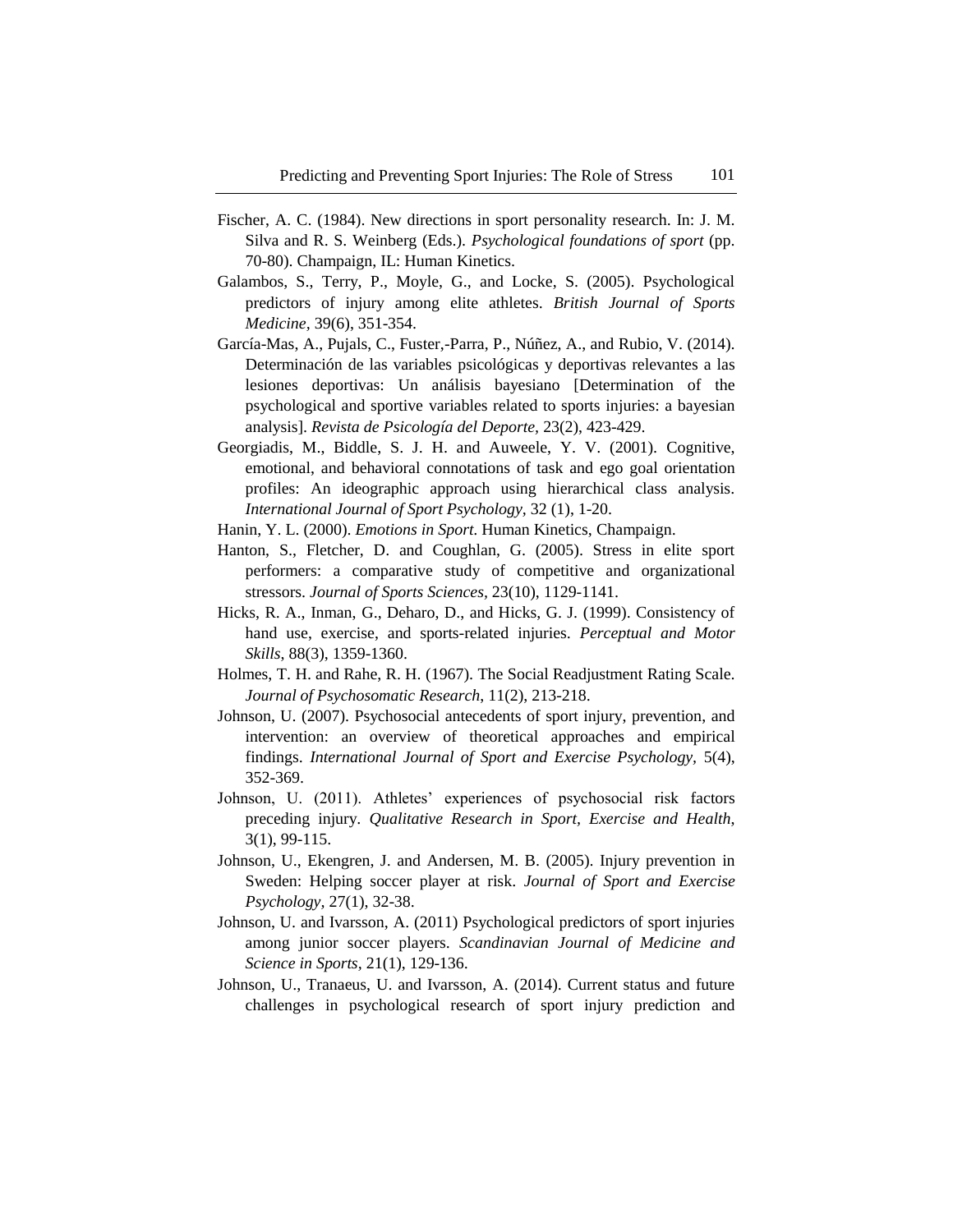- Fischer, A. C. (1984). New directions in sport personality research. In: J. M. Silva and R. S. Weinberg (Eds.). *Psychological foundations of sport* (pp. 70-80). Champaign, IL: Human Kinetics.
- Galambos, S., Terry, P., Moyle, G., and Locke, S. (2005). Psychological predictors of injury among elite athletes. *British Journal of Sports Medicine,* 39(6), 351-354.
- García-Mas, A., Pujals, C., Fuster,-Parra, P., Núñez, A., and Rubio, V. (2014). Determinación de las variables psicológicas y deportivas relevantes a las lesiones deportivas: Un análisis bayesiano [Determination of the psychological and sportive variables related to sports injuries: a bayesian analysis]. *Revista de Psicología del Deporte,* 23(2), 423-429.
- Georgiadis, M., Biddle, S. J. H. and Auweele, Y. V. (2001). Cognitive, emotional, and behavioral connotations of task and ego goal orientation profiles: An ideographic approach using hierarchical class analysis. *International Journal of Sport Psychology,* 32 (1), 1-20.
- Hanin, Y. L. (2000). *Emotions in Sport*. Human Kinetics, Champaign.
- Hanton, S., Fletcher, D. and Coughlan, G. (2005). Stress in elite sport performers: a comparative study of competitive and organizational stressors. *Journal of Sports Sciences,* 23(10), 1129-1141.
- Hicks, R. A., Inman, G., Deharo, D., and Hicks, G. J. (1999). Consistency of hand use, exercise, and sports-related injuries. *Perceptual and Motor Skills*, 88(3), 1359-1360.
- Holmes, T. H. and Rahe, R. H. (1967). The Social Readjustment Rating Scale. *Journal of Psychosomatic Research*, 11(2), 213-218.
- Johnson, U. (2007). Psychosocial antecedents of sport injury, prevention, and intervention: an overview of theoretical approaches and empirical findings. *International Journal of Sport and Exercise Psychology,* 5(4), 352-369.
- Johnson, U. (2011). Athletes' experiences of psychosocial risk factors preceding injury. *Qualitative Research in Sport, Exercise and Health*, 3(1), 99-115.
- Johnson, U., Ekengren, J. and Andersen, M. B. (2005). Injury prevention in Sweden: Helping soccer player at risk. *Journal of Sport and Exercise Psychology,* 27(1), 32-38.
- Johnson, U. and Ivarsson, A. (2011) Psychological predictors of sport injuries among junior soccer players. *Scandinavian Journal of Medicine and Science in Sports,* 21(1), 129-136.
- Johnson, U., Tranaeus, U. and Ivarsson, A. (2014). Current status and future challenges in psychological research of sport injury prediction and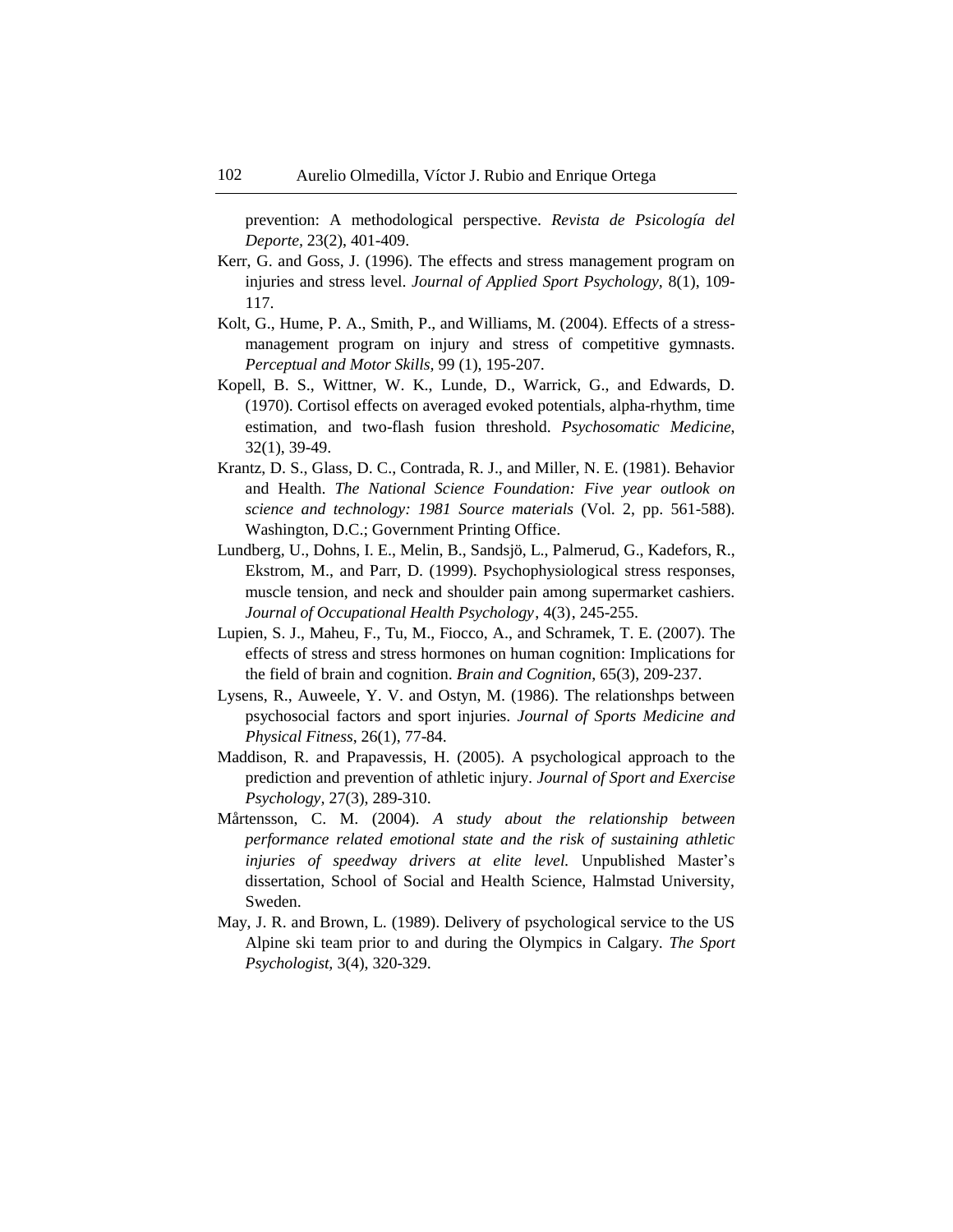prevention: A methodological perspective. *Revista de Psicología del Deporte,* 23(2), 401-409.

- Kerr, G. and Goss, J. (1996). The effects and stress management program on injuries and stress level. *Journal of Applied Sport Psychology,* 8(1), 109- 117.
- Kolt, G., Hume, P. A., Smith, P., and Williams, M. (2004). Effects of a stressmanagement program on injury and stress of competitive gymnasts. *Perceptual and Motor Skills,* 99 (1), 195-207.
- Kopell, B. S., Wittner, W. K., Lunde, D., Warrick, G., and Edwards, D. (1970). Cortisol effects on averaged evoked potentials, alpha-rhythm, time estimation, and two-flash fusion threshold. *Psychosomatic Medicine*, 32(1), 39-49.
- Krantz, D. S., Glass, D. C., Contrada, R. J., and Miller, N. E. (1981). Behavior and Health. *The National Science Foundation: Five year outlook on science and technology: 1981 Source materials* (Vol. 2, pp. 561-588). Washington, D.C.; Government Printing Office.
- Lundberg, U., Dohns, I. E., Melin, B., Sandsjö, L., Palmerud, G., Kadefors, R., Ekstrom, M., and Parr, D. (1999). Psychophysiological stress responses, muscle tension, and neck and shoulder pain among supermarket cashiers. *Journal of Occupational Health Psychology*, 4(3), 245-255.
- Lupien, S. J., Maheu, F., Tu, M., Fiocco, A., and Schramek, T. E. (2007). The effects of stress and stress hormones on human cognition: Implications for the field of brain and cognition. *Brain and Cognition*, 65(3), 209-237.
- Lysens, R., Auweele, Y. V. and Ostyn, M. (1986). The relationshps between psychosocial factors and sport injuries. *Journal of Sports Medicine and Physical Fitness*, 26(1), 77-84.
- Maddison, R. and Prapavessis, H. (2005). A psychological approach to the prediction and prevention of athletic injury. *Journal of Sport and Exercise Psychology,* 27(3), 289-310.
- Mårtensson, C. M. (2004). *A study about the relationship between performance related emotional state and the risk of sustaining athletic injuries of speedway drivers at elite level.* Unpublished Master's dissertation, School of Social and Health Science, Halmstad University, Sweden.
- May, J. R. and Brown, L. (1989). Delivery of psychological service to the US Alpine ski team prior to and during the Olympics in Calgary. *The Sport Psychologist,* 3(4), 320-329.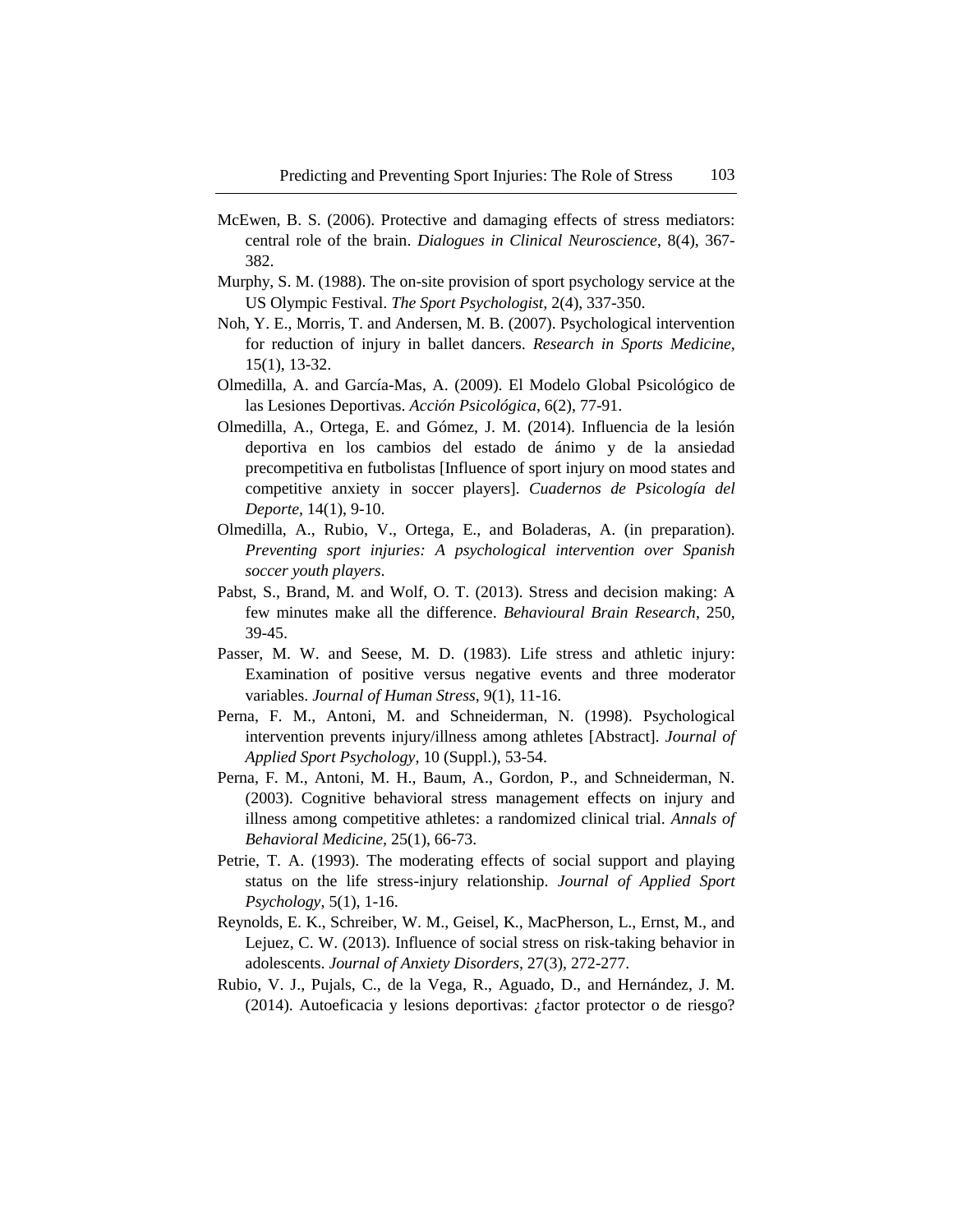- McEwen, B. S. (2006). Protective and damaging effects of stress mediators: central role of the brain. *Dialogues in Clinical Neuroscience*, 8(4), 367- 382.
- Murphy, S. M. (1988). The on-site provision of sport psychology service at the US Olympic Festival. *The Sport Psychologist,* 2(4), 337-350.
- Noh, Y. E., Morris, T. and Andersen, M. B. (2007). Psychological intervention for reduction of injury in ballet dancers. *Research in Sports Medicine,*  15(1), 13-32.
- Olmedilla, A. and García-Mas, A. (2009). El Modelo Global Psicológico de las Lesiones Deportivas. *Acción Psicológica*, 6(2), 77-91.
- Olmedilla, A., Ortega, E. and Gómez, J. M. (2014). Influencia de la lesión deportiva en los cambios del estado de ánimo y de la ansiedad precompetitiva en futbolistas [Influence of sport injury on mood states and competitive anxiety in soccer players]. *Cuadernos de Psicología del Deporte,* 14(1), 9-10.
- Olmedilla, A., Rubio, V., Ortega, E., and Boladeras, A. (in preparation). *Preventing sport injuries: A psychological intervention over Spanish soccer youth players*.
- Pabst, S., Brand, M. and Wolf, O. T. (2013). Stress and decision making: A few minutes make all the difference. *Behavioural Brain Research*, 250, 39-45.
- Passer, M. W. and Seese, M. D. (1983). Life stress and athletic injury: Examination of positive versus negative events and three moderator variables. *Journal of Human Stress*, 9(1), 11-16.
- Perna, F. M., Antoni, M. and Schneiderman, N. (1998). Psychological intervention prevents injury/illness among athletes [Abstract]. *Journal of Applied Sport Psychology,* 10 (Suppl.), 53-54.
- Perna, F. M., Antoni, M. H., Baum, A., Gordon, P., and Schneiderman, N. (2003). Cognitive behavioral stress management effects on injury and illness among competitive athletes: a randomized clinical trial. *Annals of Behavioral Medicine,* 25(1), 66-73.
- Petrie, T. A. (1993). The moderating effects of social support and playing status on the life stress-injury relationship. *Journal of Applied Sport Psychology*, 5(1), 1-16.
- Reynolds, E. K., Schreiber, W. M., Geisel, K., MacPherson, L., Ernst, M., and Lejuez, C. W. (2013). Influence of social stress on risk-taking behavior in adolescents. *Journal of Anxiety Disorders*, 27(3), 272-277.
- Rubio, V. J., Pujals, C., de la Vega, R., Aguado, D., and Hernández, J. M. (2014). Autoeficacia y lesions deportivas: ¿factor protector o de riesgo?